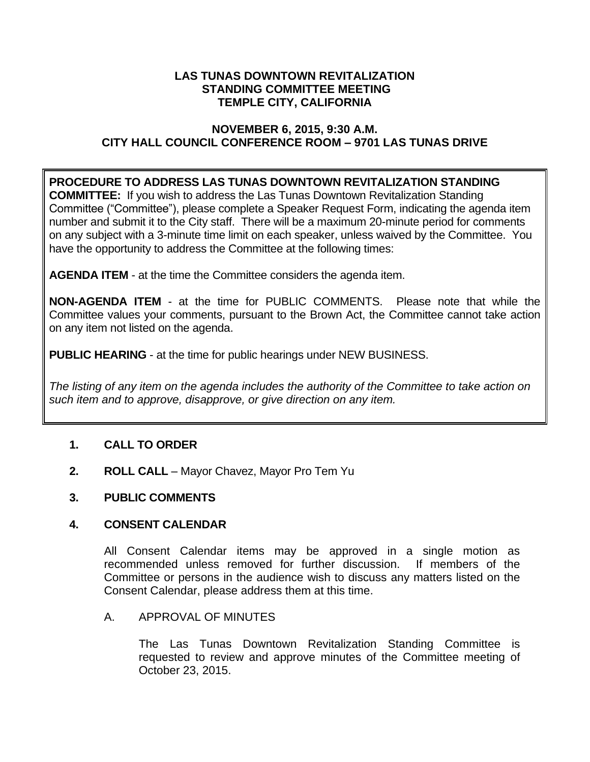### **LAS TUNAS DOWNTOWN REVITALIZATION STANDING COMMITTEE MEETING TEMPLE CITY, CALIFORNIA**

## **NOVEMBER 6, 2015, 9:30 A.M. CITY HALL COUNCIL CONFERENCE ROOM – 9701 LAS TUNAS DRIVE**

## **PROCEDURE TO ADDRESS LAS TUNAS DOWNTOWN REVITALIZATION STANDING**

**COMMITTEE:** If you wish to address the Las Tunas Downtown Revitalization Standing Committee ("Committee"), please complete a Speaker Request Form, indicating the agenda item number and submit it to the City staff. There will be a maximum 20-minute period for comments on any subject with a 3-minute time limit on each speaker, unless waived by the Committee. You have the opportunity to address the Committee at the following times:

**AGENDA ITEM** - at the time the Committee considers the agenda item.

**NON-AGENDA ITEM** - at the time for PUBLIC COMMENTS. Please note that while the Committee values your comments, pursuant to the Brown Act, the Committee cannot take action on any item not listed on the agenda.

**PUBLIC HEARING** - at the time for public hearings under NEW BUSINESS.

*The listing of any item on the agenda includes the authority of the Committee to take action on such item and to approve, disapprove, or give direction on any item.*

# **1. CALL TO ORDER**

**2. ROLL CALL** – Mayor Chavez, Mayor Pro Tem Yu

# **3. PUBLIC COMMENTS**

### **4. CONSENT CALENDAR**

All Consent Calendar items may be approved in a single motion as recommended unless removed for further discussion. If members of the Committee or persons in the audience wish to discuss any matters listed on the Consent Calendar, please address them at this time.

### A. APPROVAL OF MINUTES

The Las Tunas Downtown Revitalization Standing Committee is requested to review and approve minutes of the Committee meeting of October 23, 2015.